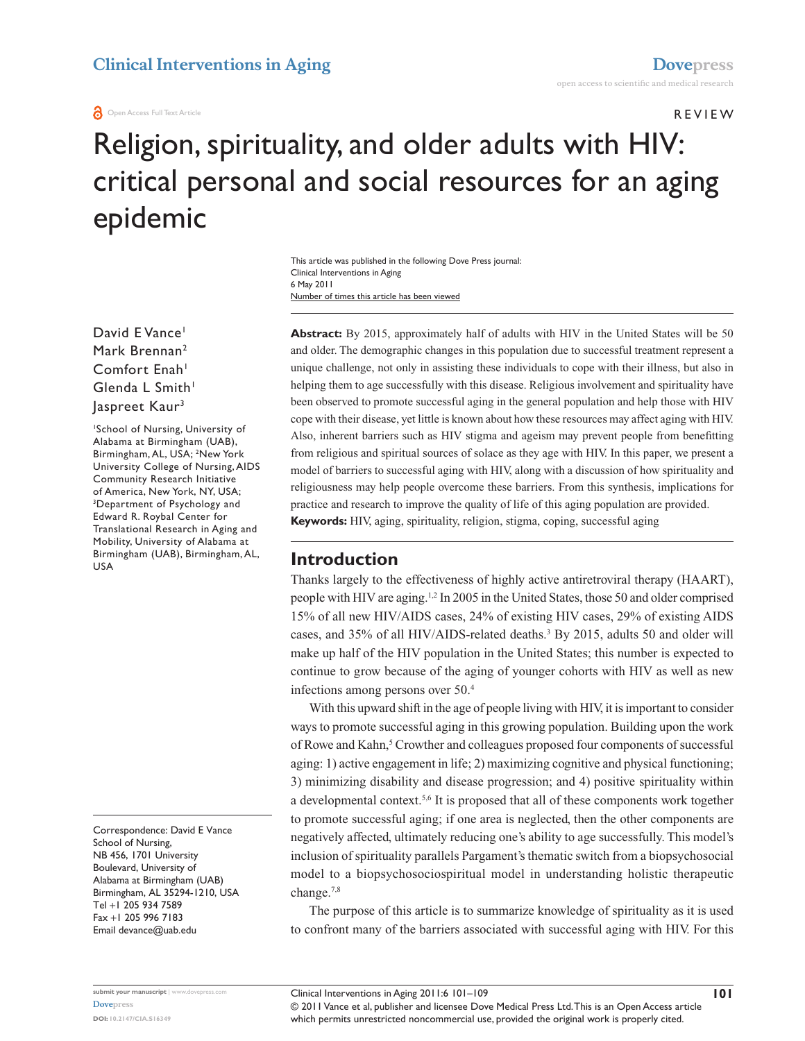#### **a** Open Access Full Text Article

R e vi e w

# Religion, spirituality, and older adults with HIV: critical personal and social resources for an aging epidemic

Number of times this article has been viewed This article was published in the following Dove Press journal: Clinical Interventions in Aging 6 May 2011

David E Vance<sup>1</sup> Mark Brennan2 Comfort Enah<sup>1</sup> Glenda L Smith<sup>1</sup> laspreet Kaur<sup>3</sup>

1 School of Nursing, University of Alabama at Birmingham (UAB), Birmingham, AL, USA; 2 New York University College of Nursing, AIDS Community Research Initiative of America, New York, NY, USA; 3 Department of Psychology and Edward R. Roybal Center for Translational Research in Aging and Mobility, University of Alabama at Birmingham (UAB), Birmingham, AL, USA

Correspondence: David E Vance School of Nursing, NB 456, 1701 University Boulevard, University of Alabama at Birmingham (UAB) Birmingham, AL 35294-1210, USA Tel +1 205 934 7589 Fax +1 205 996 7183 Email [devance@uab.edu](mailto:devance@uab.edu)

**Abstract:** By 2015, approximately half of adults with HIV in the United States will be 50 and older. The demographic changes in this population due to successful treatment represent a unique challenge, not only in assisting these individuals to cope with their illness, but also in helping them to age successfully with this disease. Religious involvement and spirituality have been observed to promote successful aging in the general population and help those with HIV cope with their disease, yet little is known about how these resources may affect aging with HIV. Also, inherent barriers such as HIV stigma and ageism may prevent people from benefitting from religious and spiritual sources of solace as they age with HIV. In this paper, we present a model of barriers to successful aging with HIV, along with a discussion of how spirituality and religiousness may help people overcome these barriers. From this synthesis, implications for practice and research to improve the quality of life of this aging population are provided. **Keywords:** HIV, aging, spirituality, religion, stigma, coping, successful aging

#### **Introduction**

Thanks largely to the effectiveness of highly active antiretroviral therapy (HAART), people with HIV are aging.1,2 In 2005 in the United States, those 50 and older comprised 15% of all new HIV/AIDS cases, 24% of existing HIV cases, 29% of existing AIDS cases, and 35% of all HIV/AIDS-related deaths.<sup>3</sup> By 2015, adults 50 and older will make up half of the HIV population in the United States; this number is expected to continue to grow because of the aging of younger cohorts with HIV as well as new infections among persons over 50.4

With this upward shift in the age of people living with HIV, it is important to consider ways to promote successful aging in this growing population. Building upon the work of Rowe and Kahn,<sup>5</sup> Crowther and colleagues proposed four components of successful aging: 1) active engagement in life; 2) maximizing cognitive and physical functioning; 3) minimizing disability and disease progression; and 4) positive spirituality within a developmental context.<sup>5,6</sup> It is proposed that all of these components work together to promote successful aging; if one area is neglected, then the other components are negatively affected, ultimately reducing one's ability to age successfully. This model's inclusion of spirituality parallels Pargament's thematic switch from a biopsychosocial model to a biopsychosociospiritual model in understanding holistic therapeutic change.7,8

The purpose of this article is to summarize knowledge of spirituality as it is used to confront many of the barriers associated with successful aging with HIV. For this

© 2011 Vance et al, publisher and licensee Dove Medical Press Ltd. This is an Open Access article which permits unrestricted noncommercial use, provided the original work is properly cited.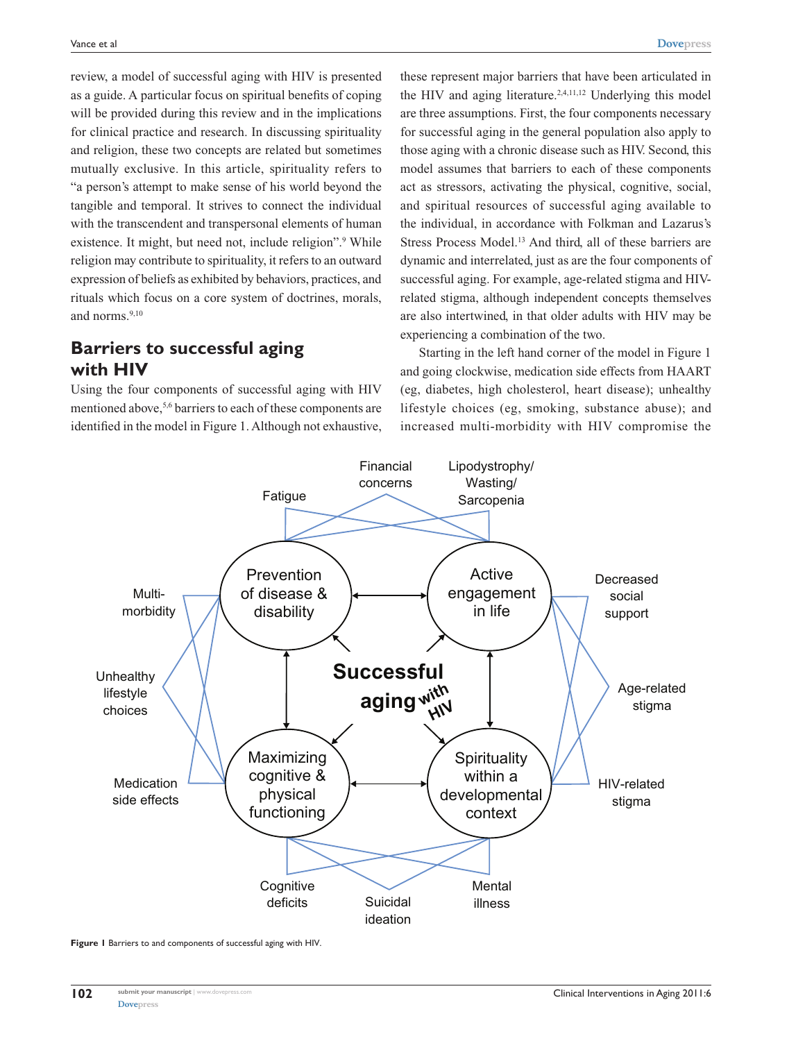review, a model of successful aging with HIV is presented as a guide. A particular focus on spiritual benefits of coping will be provided during this review and in the implications for clinical practice and research. In discussing spirituality and religion, these two concepts are related but sometimes mutually exclusive. In this article, spirituality refers to "a person's attempt to make sense of his world beyond the tangible and temporal. It strives to connect the individual with the transcendent and transpersonal elements of human existence. It might, but need not, include religion".<sup>9</sup> While religion may contribute to spirituality, it refers to an outward expression of beliefs as exhibited by behaviors, practices, and rituals which focus on a core system of doctrines, morals, and norms.9,10

# **Barriers to successful aging with HIV**

Using the four components of successful aging with HIV mentioned above,<sup>5,6</sup> barriers to each of these components are identified in the model in Figure 1. Although not exhaustive,

these represent major barriers that have been articulated in the HIV and aging literature.<sup>2,4,11,12</sup> Underlying this model are three assumptions. First, the four components necessary for successful aging in the general population also apply to those aging with a chronic disease such as HIV. Second, this model assumes that barriers to each of these components act as stressors, activating the physical, cognitive, social, and spiritual resources of successful aging available to the individual, in accordance with Folkman and Lazarus's Stress Process Model.<sup>13</sup> And third, all of these barriers are dynamic and interrelated, just as are the four components of successful aging. For example, age-related stigma and HIVrelated stigma, although independent concepts themselves are also intertwined, in that older adults with HIV may be experiencing a combination of the two.

Starting in the left hand corner of the model in Figure 1 and going clockwise, medication side effects from HAART (eg, diabetes, high cholesterol, heart disease); unhealthy lifestyle choices (eg, smoking, substance abuse); and increased multi-morbidity with HIV compromise the



**Figure 1** Barriers to and components of successful aging with HIV.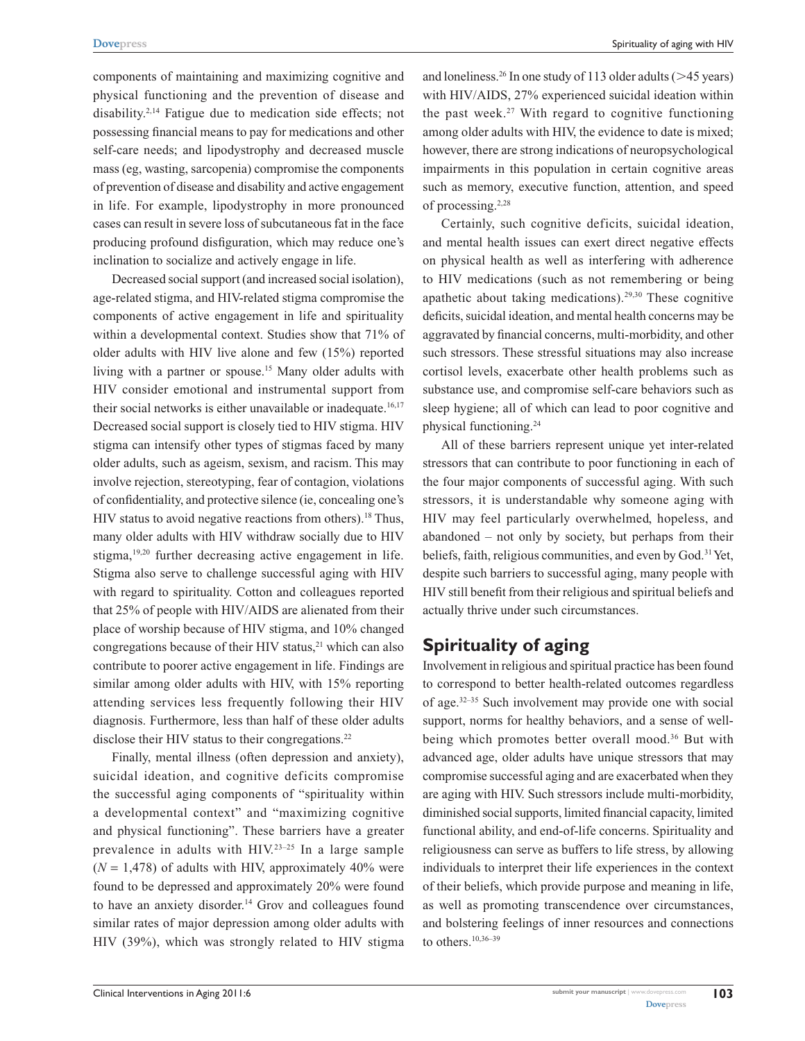components of maintaining and maximizing cognitive and physical functioning and the prevention of disease and disability.2,14 Fatigue due to medication side effects; not possessing financial means to pay for medications and other self-care needs; and lipodystrophy and decreased muscle mass (eg, wasting, sarcopenia) compromise the components of prevention of disease and disability and active engagement in life. For example, lipodystrophy in more pronounced cases can result in severe loss of subcutaneous fat in the face producing profound disfiguration, which may reduce one's inclination to socialize and actively engage in life.

Decreased social support (and increased social isolation), age-related stigma, and HIV-related stigma compromise the components of active engagement in life and spirituality within a developmental context. Studies show that 71% of older adults with HIV live alone and few (15%) reported living with a partner or spouse.<sup>15</sup> Many older adults with HIV consider emotional and instrumental support from their social networks is either unavailable or inadequate.<sup>16,17</sup> Decreased social support is closely tied to HIV stigma. HIV stigma can intensify other types of stigmas faced by many older adults, such as ageism, sexism, and racism. This may involve rejection, stereotyping, fear of contagion, violations of confidentiality, and protective silence (ie, concealing one's HIV status to avoid negative reactions from others).<sup>18</sup> Thus, many older adults with HIV withdraw socially due to HIV stigma,<sup>19,20</sup> further decreasing active engagement in life. Stigma also serve to challenge successful aging with HIV with regard to spirituality. Cotton and colleagues reported that 25% of people with HIV/AIDS are alienated from their place of worship because of HIV stigma, and 10% changed congregations because of their HIV status,<sup>21</sup> which can also contribute to poorer active engagement in life. Findings are similar among older adults with HIV, with 15% reporting attending services less frequently following their HIV diagnosis. Furthermore, less than half of these older adults disclose their HIV status to their congregations.<sup>22</sup>

Finally, mental illness (often depression and anxiety), suicidal ideation, and cognitive deficits compromise the successful aging components of "spirituality within a developmental context" and "maximizing cognitive and physical functioning". These barriers have a greater prevalence in adults with  $HIV<sub>1</sub><sup>23-25</sup>$  In a large sample  $(N = 1,478)$  of adults with HIV, approximately 40% were found to be depressed and approximately 20% were found to have an anxiety disorder.<sup>14</sup> Grov and colleagues found similar rates of major depression among older adults with HIV (39%), which was strongly related to HIV stigma and loneliness.<sup>26</sup> In one study of 113 older adults ( $>45$  years) with HIV/AIDS, 27% experienced suicidal ideation within the past week.<sup>27</sup> With regard to cognitive functioning among older adults with HIV, the evidence to date is mixed; however, there are strong indications of neuropsychological impairments in this population in certain cognitive areas such as memory, executive function, attention, and speed of processing.<sup>2,28</sup>

Certainly, such cognitive deficits, suicidal ideation, and mental health issues can exert direct negative effects on physical health as well as interfering with adherence to HIV medications (such as not remembering or being apathetic about taking medications).29,30 These cognitive deficits, suicidal ideation, and mental health concerns may be aggravated by financial concerns, multi-morbidity, and other such stressors. These stressful situations may also increase cortisol levels, exacerbate other health problems such as substance use, and compromise self-care behaviors such as sleep hygiene; all of which can lead to poor cognitive and physical functioning.24

All of these barriers represent unique yet inter-related stressors that can contribute to poor functioning in each of the four major components of successful aging. With such stressors, it is understandable why someone aging with HIV may feel particularly overwhelmed, hopeless, and abandoned – not only by society, but perhaps from their beliefs, faith, religious communities, and even by God.<sup>31</sup> Yet, despite such barriers to successful aging, many people with HIV still benefit from their religious and spiritual beliefs and actually thrive under such circumstances.

# **Spirituality of aging**

Involvement in religious and spiritual practice has been found to correspond to better health-related outcomes regardless of age.32–35 Such involvement may provide one with social support, norms for healthy behaviors, and a sense of wellbeing which promotes better overall mood.<sup>36</sup> But with advanced age, older adults have unique stressors that may compromise successful aging and are exacerbated when they are aging with HIV. Such stressors include multi-morbidity, diminished social supports, limited financial capacity, limited functional ability, and end-of-life concerns. Spirituality and religiousness can serve as buffers to life stress, by allowing individuals to interpret their life experiences in the context of their beliefs, which provide purpose and meaning in life, as well as promoting transcendence over circumstances, and bolstering feelings of inner resources and connections to others.<sup>10,36-39</sup>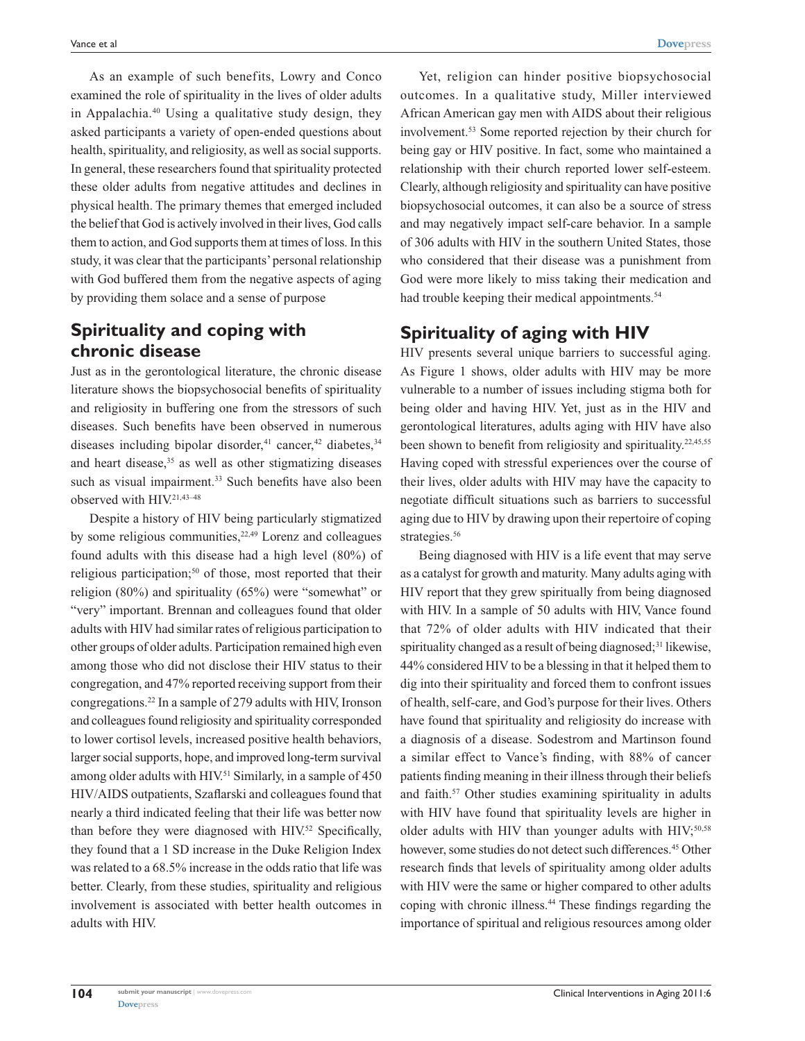As an example of such benefits, Lowry and Conco examined the role of spirituality in the lives of older adults in Appalachia.40 Using a qualitative study design, they asked participants a variety of open-ended questions about health, spirituality, and religiosity, as well as social supports. In general, these researchers found that spirituality protected these older adults from negative attitudes and declines in physical health. The primary themes that emerged included the belief that God is actively involved in their lives, God calls them to action, and God supports them at times of loss. In this study, it was clear that the participants' personal relationship with God buffered them from the negative aspects of aging by providing them solace and a sense of purpose

# **Spirituality and coping with chronic disease**

Just as in the gerontological literature, the chronic disease literature shows the biopsychosocial benefits of spirituality and religiosity in buffering one from the stressors of such diseases. Such benefits have been observed in numerous diseases including bipolar disorder, $41$  cancer, $42$  diabetes, $34$ and heart disease,<sup>35</sup> as well as other stigmatizing diseases such as visual impairment.<sup>33</sup> Such benefits have also been observed with HIV.21,43–48

Despite a history of HIV being particularly stigmatized by some religious communities, $22,49$  Lorenz and colleagues found adults with this disease had a high level (80%) of religious participation;<sup>50</sup> of those, most reported that their religion (80%) and spirituality (65%) were "somewhat" or "very" important. Brennan and colleagues found that older adults with HIV had similar rates of religious participation to other groups of older adults. Participation remained high even among those who did not disclose their HIV status to their congregation, and 47% reported receiving support from their congregations.22 In a sample of 279 adults with HIV, Ironson and colleagues found religiosity and spirituality corresponded to lower cortisol levels, increased positive health behaviors, larger social supports, hope, and improved long-term survival among older adults with HIV.<sup>51</sup> Similarly, in a sample of 450 HIV/AIDS outpatients, Szaflarski and colleagues found that nearly a third indicated feeling that their life was better now than before they were diagnosed with HIV.<sup>52</sup> Specifically, they found that a 1 SD increase in the Duke Religion Index was related to a 68.5% increase in the odds ratio that life was better. Clearly, from these studies, spirituality and religious involvement is associated with better health outcomes in adults with HIV.

Yet, religion can hinder positive biopsychosocial outcomes. In a qualitative study, Miller interviewed African American gay men with AIDS about their religious involvement.53 Some reported rejection by their church for being gay or HIV positive. In fact, some who maintained a relationship with their church reported lower self-esteem. Clearly, although religiosity and spirituality can have positive biopsychosocial outcomes, it can also be a source of stress and may negatively impact self-care behavior. In a sample of 306 adults with HIV in the southern United States, those who considered that their disease was a punishment from God were more likely to miss taking their medication and had trouble keeping their medical appointments.<sup>54</sup>

## **Spirituality of aging with HIV**

HIV presents several unique barriers to successful aging. As Figure 1 shows, older adults with HIV may be more vulnerable to a number of issues including stigma both for being older and having HIV. Yet, just as in the HIV and gerontological literatures, adults aging with HIV have also been shown to benefit from religiosity and spirituality.<sup>22,45,55</sup> Having coped with stressful experiences over the course of their lives, older adults with HIV may have the capacity to negotiate difficult situations such as barriers to successful aging due to HIV by drawing upon their repertoire of coping strategies.<sup>56</sup>

Being diagnosed with HIV is a life event that may serve as a catalyst for growth and maturity. Many adults aging with HIV report that they grew spiritually from being diagnosed with HIV. In a sample of 50 adults with HIV, Vance found that 72% of older adults with HIV indicated that their spirituality changed as a result of being diagnosed;<sup>31</sup> likewise, 44% considered HIV to be a blessing in that it helped them to dig into their spirituality and forced them to confront issues of health, self-care, and God's purpose for their lives. Others have found that spirituality and religiosity do increase with a diagnosis of a disease. Sodestrom and Martinson found a similar effect to Vance's finding, with 88% of cancer patients finding meaning in their illness through their beliefs and faith.57 Other studies examining spirituality in adults with HIV have found that spirituality levels are higher in older adults with HIV than younger adults with HIV;<sup>50,58</sup> however, some studies do not detect such differences.<sup>45</sup> Other research finds that levels of spirituality among older adults with HIV were the same or higher compared to other adults coping with chronic illness.44 These findings regarding the importance of spiritual and religious resources among older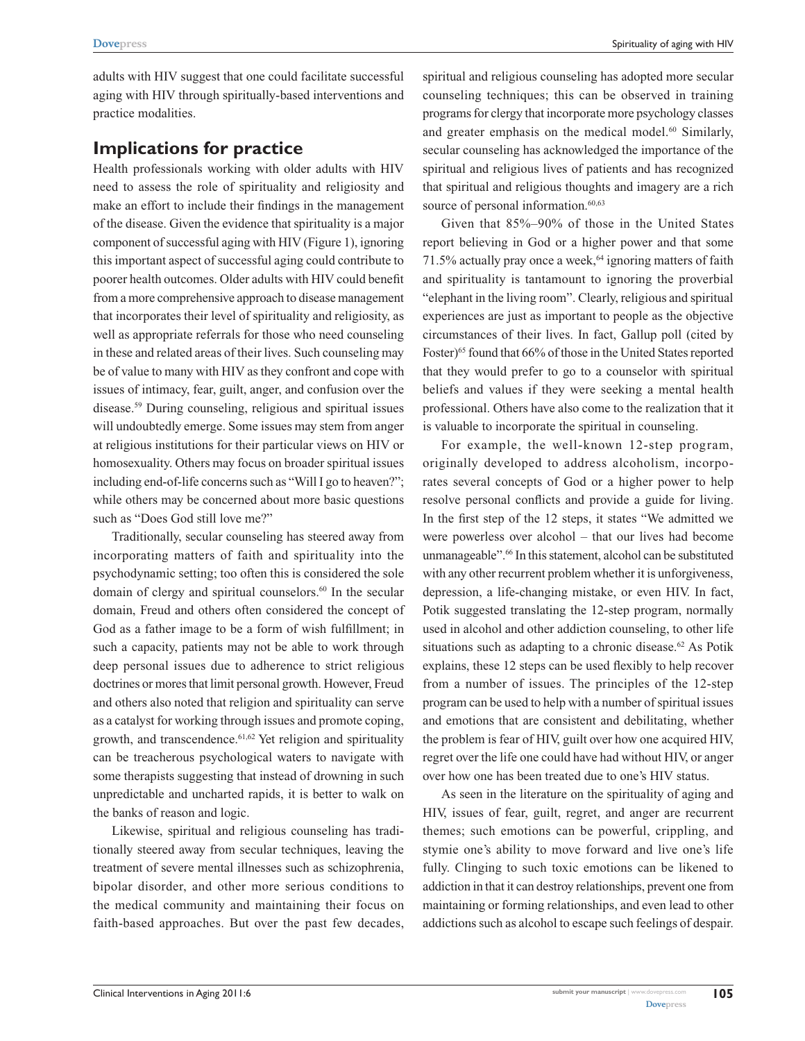adults with HIV suggest that one could facilitate successful aging with HIV through spiritually-based interventions and practice modalities.

## **Implications for practice**

Health professionals working with older adults with HIV need to assess the role of spirituality and religiosity and make an effort to include their findings in the management of the disease. Given the evidence that spirituality is a major component of successful aging with HIV (Figure 1), ignoring this important aspect of successful aging could contribute to poorer health outcomes. Older adults with HIV could benefit from a more comprehensive approach to disease management that incorporates their level of spirituality and religiosity, as well as appropriate referrals for those who need counseling in these and related areas of their lives. Such counseling may be of value to many with HIV as they confront and cope with issues of intimacy, fear, guilt, anger, and confusion over the disease.59 During counseling, religious and spiritual issues will undoubtedly emerge. Some issues may stem from anger at religious institutions for their particular views on HIV or homosexuality. Others may focus on broader spiritual issues including end-of-life concerns such as "Will I go to heaven?"; while others may be concerned about more basic questions such as "Does God still love me?"

Traditionally, secular counseling has steered away from incorporating matters of faith and spirituality into the psychodynamic setting; too often this is considered the sole domain of clergy and spiritual counselors.<sup>60</sup> In the secular domain, Freud and others often considered the concept of God as a father image to be a form of wish fulfillment; in such a capacity, patients may not be able to work through deep personal issues due to adherence to strict religious doctrines or mores that limit personal growth. However, Freud and others also noted that religion and spirituality can serve as a catalyst for working through issues and promote coping, growth, and transcendence.<sup>61,62</sup> Yet religion and spirituality can be treacherous psychological waters to navigate with some therapists suggesting that instead of drowning in such unpredictable and uncharted rapids, it is better to walk on the banks of reason and logic.

Likewise, spiritual and religious counseling has traditionally steered away from secular techniques, leaving the treatment of severe mental illnesses such as schizophrenia, bipolar disorder, and other more serious conditions to the medical community and maintaining their focus on faith-based approaches. But over the past few decades, spiritual and religious counseling has adopted more secular counseling techniques; this can be observed in training programs for clergy that incorporate more psychology classes and greater emphasis on the medical model.<sup>60</sup> Similarly, secular counseling has acknowledged the importance of the spiritual and religious lives of patients and has recognized that spiritual and religious thoughts and imagery are a rich source of personal information. $60,63$ 

Given that 85%–90% of those in the United States report believing in God or a higher power and that some 71.5% actually pray once a week, $64$  ignoring matters of faith and spirituality is tantamount to ignoring the proverbial "elephant in the living room". Clearly, religious and spiritual experiences are just as important to people as the objective circumstances of their lives. In fact, Gallup poll (cited by Foster)<sup>65</sup> found that 66% of those in the United States reported that they would prefer to go to a counselor with spiritual beliefs and values if they were seeking a mental health professional. Others have also come to the realization that it is valuable to incorporate the spiritual in counseling.

For example, the well-known 12-step program, originally developed to address alcoholism, incorporates several concepts of God or a higher power to help resolve personal conflicts and provide a guide for living. In the first step of the 12 steps, it states "We admitted we were powerless over alcohol – that our lives had become unmanageable".66 In this statement, alcohol can be substituted with any other recurrent problem whether it is unforgiveness, depression, a life-changing mistake, or even HIV. In fact, Potik suggested translating the 12-step program, normally used in alcohol and other addiction counseling, to other life situations such as adapting to a chronic disease.<sup>62</sup> As Potik explains, these 12 steps can be used flexibly to help recover from a number of issues. The principles of the 12-step program can be used to help with a number of spiritual issues and emotions that are consistent and debilitating, whether the problem is fear of HIV, guilt over how one acquired HIV, regret over the life one could have had without HIV, or anger over how one has been treated due to one's HIV status.

As seen in the literature on the spirituality of aging and HIV, issues of fear, guilt, regret, and anger are recurrent themes; such emotions can be powerful, crippling, and stymie one's ability to move forward and live one's life fully. Clinging to such toxic emotions can be likened to addiction in that it can destroy relationships, prevent one from maintaining or forming relationships, and even lead to other addictions such as alcohol to escape such feelings of despair.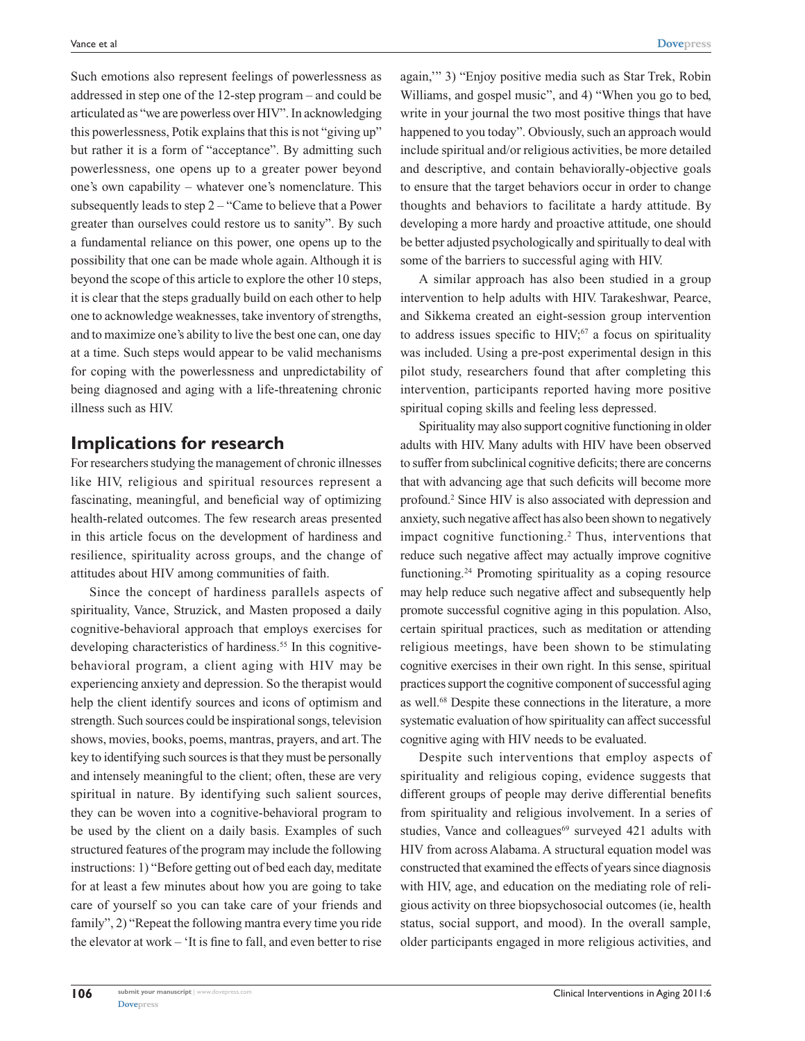Such emotions also represent feelings of powerlessness as addressed in step one of the 12-step program – and could be articulated as "we are powerless over HIV". In acknowledging this powerlessness, Potik explains that this is not "giving up" but rather it is a form of "acceptance". By admitting such powerlessness, one opens up to a greater power beyond one's own capability – whatever one's nomenclature. This subsequently leads to step 2 – "Came to believe that a Power greater than ourselves could restore us to sanity". By such a fundamental reliance on this power, one opens up to the possibility that one can be made whole again. Although it is beyond the scope of this article to explore the other 10 steps, it is clear that the steps gradually build on each other to help one to acknowledge weaknesses, take inventory of strengths, and to maximize one's ability to live the best one can, one day at a time. Such steps would appear to be valid mechanisms for coping with the powerlessness and unpredictability of being diagnosed and aging with a life-threatening chronic illness such as HIV.

### **Implications for research**

For researchers studying the management of chronic illnesses like HIV, religious and spiritual resources represent a fascinating, meaningful, and beneficial way of optimizing health-related outcomes. The few research areas presented in this article focus on the development of hardiness and resilience, spirituality across groups, and the change of attitudes about HIV among communities of faith.

Since the concept of hardiness parallels aspects of spirituality, Vance, Struzick, and Masten proposed a daily cognitive-behavioral approach that employs exercises for developing characteristics of hardiness.<sup>55</sup> In this cognitivebehavioral program, a client aging with HIV may be experiencing anxiety and depression. So the therapist would help the client identify sources and icons of optimism and strength. Such sources could be inspirational songs, television shows, movies, books, poems, mantras, prayers, and art. The key to identifying such sources is that they must be personally and intensely meaningful to the client; often, these are very spiritual in nature. By identifying such salient sources, they can be woven into a cognitive-behavioral program to be used by the client on a daily basis. Examples of such structured features of the program may include the following instructions: 1) "Before getting out of bed each day, meditate for at least a few minutes about how you are going to take care of yourself so you can take care of your friends and family", 2) "Repeat the following mantra every time you ride the elevator at work – 'It is fine to fall, and even better to rise again,'" 3) "Enjoy positive media such as Star Trek, Robin Williams, and gospel music", and 4) "When you go to bed, write in your journal the two most positive things that have happened to you today". Obviously, such an approach would include spiritual and/or religious activities, be more detailed and descriptive, and contain behaviorally-objective goals to ensure that the target behaviors occur in order to change thoughts and behaviors to facilitate a hardy attitude. By developing a more hardy and proactive attitude, one should be better adjusted psychologically and spiritually to deal with some of the barriers to successful aging with HIV.

A similar approach has also been studied in a group intervention to help adults with HIV. Tarakeshwar, Pearce, and Sikkema created an eight-session group intervention to address issues specific to  $HIV;^{67}$  a focus on spirituality was included. Using a pre-post experimental design in this pilot study, researchers found that after completing this intervention, participants reported having more positive spiritual coping skills and feeling less depressed.

Spirituality may also support cognitive functioning in older adults with HIV. Many adults with HIV have been observed to suffer from subclinical cognitive deficits; there are concerns that with advancing age that such deficits will become more profound.2 Since HIV is also associated with depression and anxiety, such negative affect has also been shown to negatively impact cognitive functioning.<sup>2</sup> Thus, interventions that reduce such negative affect may actually improve cognitive functioning.24 Promoting spirituality as a coping resource may help reduce such negative affect and subsequently help promote successful cognitive aging in this population. Also, certain spiritual practices, such as meditation or attending religious meetings, have been shown to be stimulating cognitive exercises in their own right. In this sense, spiritual practices support the cognitive component of successful aging as well.68 Despite these connections in the literature, a more systematic evaluation of how spirituality can affect successful cognitive aging with HIV needs to be evaluated.

Despite such interventions that employ aspects of spirituality and religious coping, evidence suggests that different groups of people may derive differential benefits from spirituality and religious involvement. In a series of studies, Vance and colleagues<sup>69</sup> surveyed 421 adults with HIV from across Alabama. A structural equation model was constructed that examined the effects of years since diagnosis with HIV, age, and education on the mediating role of religious activity on three biopsychosocial outcomes (ie, health status, social support, and mood). In the overall sample, older participants engaged in more religious activities, and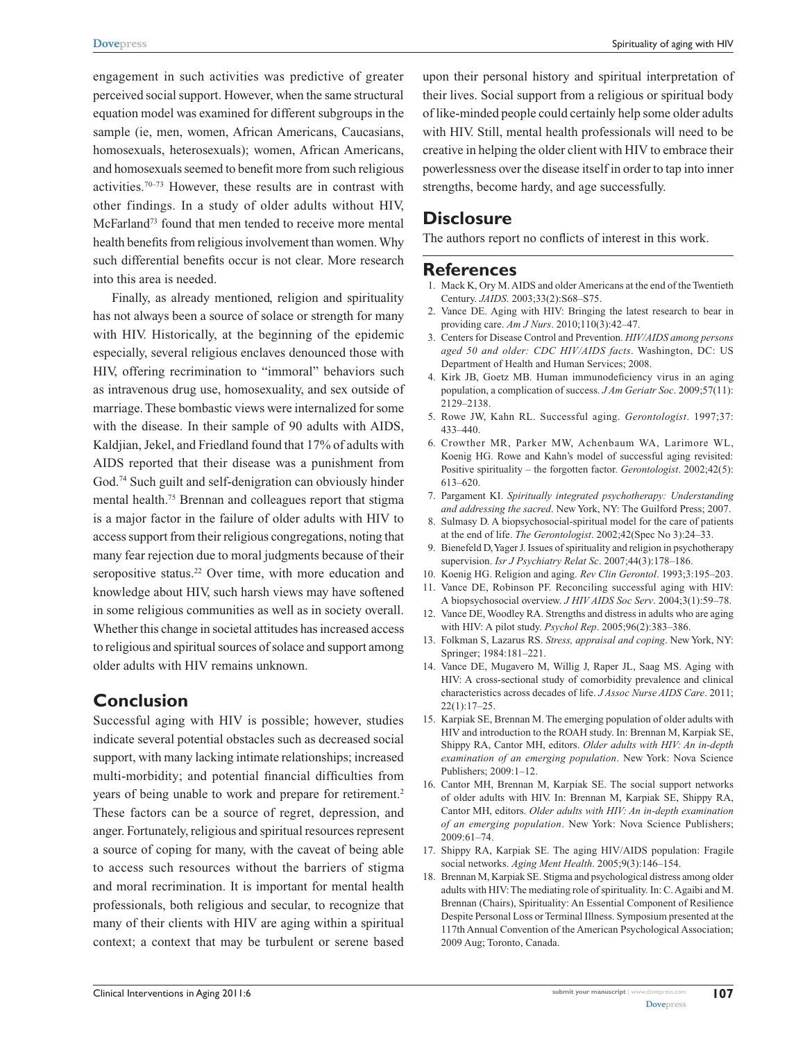engagement in such activities was predictive of greater perceived social support. However, when the same structural equation model was examined for different subgroups in the sample (ie, men, women, African Americans, Caucasians, homosexuals, heterosexuals); women, African Americans, and homosexuals seemed to benefit more from such religious activities.70–73 However, these results are in contrast with other findings. In a study of older adults without HIV, McFarland73 found that men tended to receive more mental health benefits from religious involvement than women. Why such differential benefits occur is not clear. More research into this area is needed.

Finally, as already mentioned, religion and spirituality has not always been a source of solace or strength for many with HIV. Historically, at the beginning of the epidemic especially, several religious enclaves denounced those with HIV, offering recrimination to "immoral" behaviors such as intravenous drug use, homosexuality, and sex outside of marriage. These bombastic views were internalized for some with the disease. In their sample of 90 adults with AIDS, Kaldjian, Jekel, and Friedland found that 17% of adults with AIDS reported that their disease was a punishment from God.74 Such guilt and self-denigration can obviously hinder mental health.75 Brennan and colleagues report that stigma is a major factor in the failure of older adults with HIV to access support from their religious congregations, noting that many fear rejection due to moral judgments because of their seropositive status.<sup>22</sup> Over time, with more education and knowledge about HIV, such harsh views may have softened in some religious communities as well as in society overall. Whether this change in societal attitudes has increased access to religious and spiritual sources of solace and support among older adults with HIV remains unknown.

### **Conclusion**

Successful aging with HIV is possible; however, studies indicate several potential obstacles such as decreased social support, with many lacking intimate relationships; increased multi-morbidity; and potential financial difficulties from years of being unable to work and prepare for retirement.<sup>2</sup> These factors can be a source of regret, depression, and anger. Fortunately, religious and spiritual resources represent a source of coping for many, with the caveat of being able to access such resources without the barriers of stigma and moral recrimination. It is important for mental health professionals, both religious and secular, to recognize that many of their clients with HIV are aging within a spiritual context; a context that may be turbulent or serene based upon their personal history and spiritual interpretation of their lives. Social support from a religious or spiritual body of like-minded people could certainly help some older adults with HIV. Still, mental health professionals will need to be creative in helping the older client with HIV to embrace their powerlessness over the disease itself in order to tap into inner strengths, become hardy, and age successfully.

#### **Disclosure**

The authors report no conflicts of interest in this work.

#### **References**

- 1. Mack K, Ory M. AIDS and older Americans at the end of the Twentieth Century. *JAIDS*. 2003;33(2):S68–S75.
- 2. Vance DE. Aging with HIV: Bringing the latest research to bear in providing care. *Am J Nurs*. 2010;110(3):42–47.
- 3. Centers for Disease Control and Prevention. *HIV/AIDS among persons aged 50 and older: CDC HIV/AIDS facts*. Washington, DC: US Department of Health and Human Services; 2008.
- 4. Kirk JB, Goetz MB. Human immunodeficiency virus in an aging population, a complication of success. *J Am Geriatr Soc*. 2009;57(11): 2129–2138.
- 5. Rowe JW, Kahn RL. Successful aging. *Gerontologist*. 1997;37: 433–440.
- 6. Crowther MR, Parker MW, Achenbaum WA, Larimore WL, Koenig HG. Rowe and Kahn's model of successful aging revisited: Positive spirituality – the forgotten factor. *Gerontologist*. 2002;42(5): 613–620.
- 7. Pargament KI. *Spiritually integrated psychotherapy: Understanding and addressing the sacred*. New York, NY: The Guilford Press; 2007.
- 8. Sulmasy D. A biopsychosocial-spiritual model for the care of patients at the end of life. *The Gerontologist*. 2002;42(Spec No 3):24–33.
- 9. Bienefeld D, Yager J. Issues of spirituality and religion in psychotherapy supervision. *Isr J Psychiatry Relat Sc*. 2007;44(3):178–186.
- 10. Koenig HG. Religion and aging. *Rev Clin Gerontol*. 1993;3:195–203.
- 11. Vance DE, Robinson PF. Reconciling successful aging with HIV: A biopsychosocial overview. *J HIV AIDS Soc Serv*. 2004;3(1):59–78.
- 12. Vance DE, Woodley RA. Strengths and distress in adults who are aging with HIV: A pilot study. *Psychol Rep*. 2005;96(2):383–386.
- 13. Folkman S, Lazarus RS. *Stress, appraisal and coping*. New York, NY: Springer; 1984:181–221.
- 14. Vance DE, Mugavero M, Willig J, Raper JL, Saag MS. Aging with HIV: A cross-sectional study of comorbidity prevalence and clinical characteristics across decades of life. *J Assoc Nurse AIDS Care*. 2011; 22(1):17–25.
- 15. Karpiak SE, Brennan M. The emerging population of older adults with HIV and introduction to the ROAH study. In: Brennan M, Karpiak SE, Shippy RA, Cantor MH, editors. *Older adults with HIV: An in-depth examination of an emerging population*. New York: Nova Science Publishers; 2009:1–12.
- 16. Cantor MH, Brennan M, Karpiak SE. The social support networks of older adults with HIV. In: Brennan M, Karpiak SE, Shippy RA, Cantor MH, editors. *Older adults with HIV: An in-depth examination of an emerging population*. New York: Nova Science Publishers; 2009:61–74.
- 17. Shippy RA, Karpiak SE. The aging HIV/AIDS population: Fragile social networks. *Aging Ment Health*. 2005;9(3):146–154.
- 18. Brennan M, Karpiak SE. Stigma and psychological distress among older adults with HIV: The mediating role of spirituality. In: C. Agaibi and M. Brennan (Chairs), Spirituality: An Essential Component of Resilience Despite Personal Loss or Terminal Illness. Symposium presented at the 117th Annual Convention of the American Psychological Association; 2009 Aug; Toronto, Canada.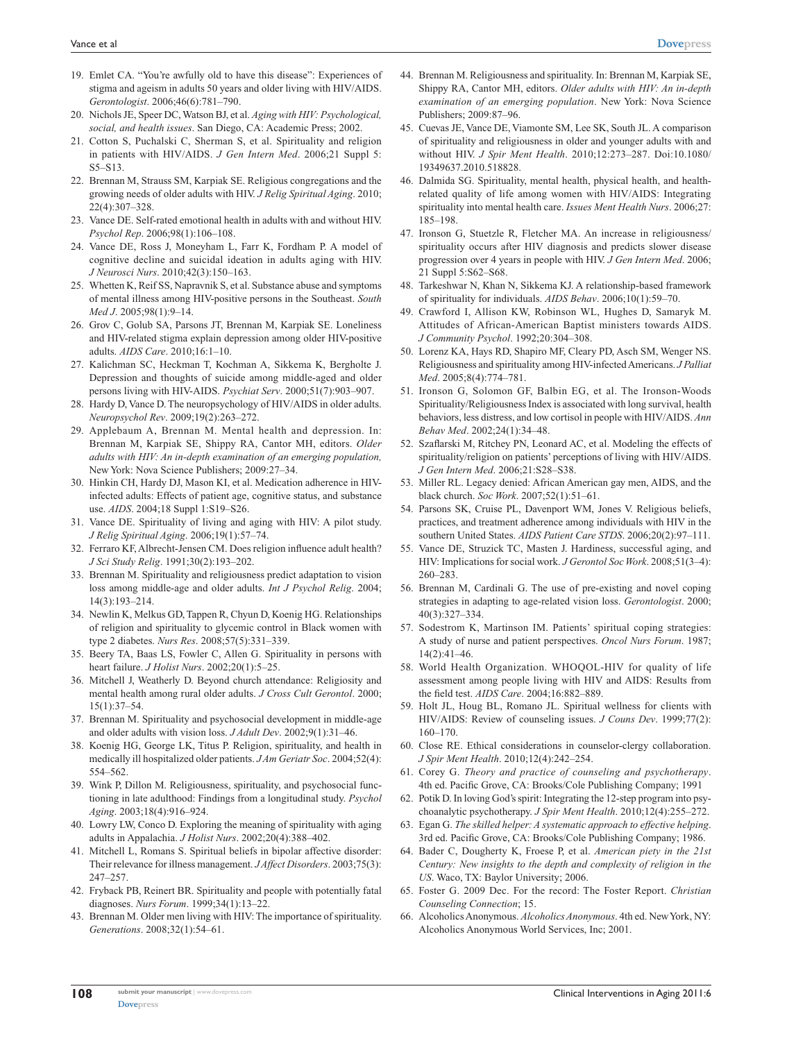- 19. Emlet CA. "You're awfully old to have this disease": Experiences of stigma and ageism in adults 50 years and older living with HIV/AIDS. *Gerontologist*. 2006;46(6):781–790.
- 20. Nichols JE, Speer DC, Watson BJ, et al. *Aging with HIV: Psychological, social, and health issues*. San Diego, CA: Academic Press; 2002.
- 21. Cotton S, Puchalski C, Sherman S, et al. Spirituality and religion in patients with HIV/AIDS. *J Gen Intern Med*. 2006;21 Suppl 5: S5–S13.
- 22. Brennan M, Strauss SM, Karpiak SE. Religious congregations and the growing needs of older adults with HIV. *J Relig Spiritual Aging*. 2010; 22(4):307–328.
- 23. Vance DE. Self-rated emotional health in adults with and without HIV. *Psychol Rep*. 2006;98(1):106–108.
- 24. Vance DE, Ross J, Moneyham L, Farr K, Fordham P. A model of cognitive decline and suicidal ideation in adults aging with HIV. *J Neurosci Nurs*. 2010;42(3):150–163.
- 25. Whetten K, Reif SS, Napravnik S, et al. Substance abuse and symptoms of mental illness among HIV-positive persons in the Southeast. *South Med J*. 2005;98(1):9–14.
- 26. Grov C, Golub SA, Parsons JT, Brennan M, Karpiak SE. Loneliness and HIV-related stigma explain depression among older HIV-positive adults. *AIDS Care*. 2010;16:1–10.
- 27. Kalichman SC, Heckman T, Kochman A, Sikkema K, Bergholte J. Depression and thoughts of suicide among middle-aged and older persons living with HIV-AIDS. *Psychiat Serv*. 2000;51(7):903–907.
- 28. Hardy D, Vance D. The neuropsychology of HIV/AIDS in older adults. *Neuropsychol Rev*. 2009;19(2):263–272.
- 29. Applebaum A, Brennan M. Mental health and depression. In: Brennan M, Karpiak SE, Shippy RA, Cantor MH, editors. *Older adults with HIV: An in-depth examination of an emerging population,* New York: Nova Science Publishers; 2009:27–34.
- 30. Hinkin CH, Hardy DJ, Mason KI, et al. Medication adherence in HIVinfected adults: Effects of patient age, cognitive status, and substance use. *AIDS*. 2004;18 Suppl 1:S19–S26.
- 31. Vance DE. Spirituality of living and aging with HIV: A pilot study. *J Relig Spiritual Aging*. 2006;19(1):57–74.
- 32. Ferraro KF, Albrecht-Jensen CM. Does religion influence adult health? *J Sci Study Relig*. 1991;30(2):193–202.
- 33. Brennan M. Spirituality and religiousness predict adaptation to vision loss among middle-age and older adults. *Int J Psychol Relig*. 2004; 14(3):193–214.
- 34. Newlin K, Melkus GD, Tappen R, Chyun D, Koenig HG. Relationships of religion and spirituality to glycemic control in Black women with type 2 diabetes. *Nurs Res*. 2008;57(5):331–339.
- 35. Beery TA, Baas LS, Fowler C, Allen G. Spirituality in persons with heart failure. *J Holist Nurs*. 2002;20(1):5–25.
- 36. Mitchell J, Weatherly D. Beyond church attendance: Religiosity and mental health among rural older adults. *J Cross Cult Gerontol*. 2000; 15(1):37–54.
- 37. Brennan M. Spirituality and psychosocial development in middle-age and older adults with vision loss. *J Adult Dev*. 2002;9(1):31–46.
- 38. Koenig HG, George LK, Titus P. Religion, spirituality, and health in medically ill hospitalized older patients. *J Am Geriatr Soc*. 2004;52(4): 554–562.
- 39. Wink P, Dillon M. Religiousness, spirituality, and psychosocial functioning in late adulthood: Findings from a longitudinal study. *Psychol Aging*. 2003;18(4):916–924.
- 40. Lowry LW, Conco D. Exploring the meaning of spirituality with aging adults in Appalachia. *J Holist Nurs*. 2002;20(4):388–402.
- 41. Mitchell L, Romans S. Spiritual beliefs in bipolar affective disorder: Their relevance for illness management. *J Affect Disorders*. 2003;75(3): 247–257.
- 42. Fryback PB, Reinert BR. Spirituality and people with potentially fatal diagnoses. *Nurs Forum*. 1999;34(1):13–22.
- 43. Brennan M. Older men living with HIV: The importance of spirituality. *Generations*. 2008;32(1):54–61.
- 44. Brennan M. Religiousness and spirituality. In: Brennan M, Karpiak SE, Shippy RA, Cantor MH, editors. *Older adults with HIV: An in-depth examination of an emerging population*. New York: Nova Science Publishers; 2009:87–96.
- 45. Cuevas JE, Vance DE, Viamonte SM, Lee SK, South JL. A comparison of spirituality and religiousness in older and younger adults with and without HIV. *J Spir Ment Health*. 2010;12:273–287. Doi:10.1080/ 19349637.2010.518828.
- 46. Dalmida SG. Spirituality, mental health, physical health, and healthrelated quality of life among women with HIV/AIDS: Integrating spirituality into mental health care. *Issues Ment Health Nurs*. 2006;27: 185–198.
- 47. Ironson G, Stuetzle R, Fletcher MA. An increase in religiousness/ spirituality occurs after HIV diagnosis and predicts slower disease progression over 4 years in people with HIV. *J Gen Intern Med*. 2006; 21 Suppl 5:S62–S68.
- 48. Tarkeshwar N, Khan N, Sikkema KJ. A relationship-based framework of spirituality for individuals. *AIDS Behav*. 2006;10(1):59–70.
- 49. Crawford I, Allison KW, Robinson WL, Hughes D, Samaryk M. Attitudes of African-American Baptist ministers towards AIDS. *J Community Psychol*. 1992;20:304–308.
- 50. Lorenz KA, Hays RD, Shapiro MF, Cleary PD, Asch SM, Wenger NS. Religiousness and spirituality among HIV-infected Americans. *J Palliat Med*. 2005;8(4):774–781.
- 51. Ironson G, Solomon GF, Balbin EG, et al. The Ironson-Woods Spirituality/Religiousness Index is associated with long survival, health behaviors, less distress, and low cortisol in people with HIV/AIDS. *Ann Behav Med*. 2002;24(1):34–48.
- 52. Szaflarski M, Ritchey PN, Leonard AC, et al. Modeling the effects of spirituality/religion on patients' perceptions of living with HIV/AIDS. *J Gen Intern Med*. 2006;21:S28–S38.
- 53. Miller RL. Legacy denied: African American gay men, AIDS, and the black church. *Soc Work*. 2007;52(1):51–61.
- 54. Parsons SK, Cruise PL, Davenport WM, Jones V. Religious beliefs, practices, and treatment adherence among individuals with HIV in the southern United States. *AIDS Patient Care STDS*. 2006;20(2):97–111.
- 55. Vance DE, Struzick TC, Masten J. Hardiness, successful aging, and HIV: Implications for social work. *J Gerontol Soc Work*. 2008;51(3–4): 260–283.
- 56. Brennan M, Cardinali G. The use of pre-existing and novel coping strategies in adapting to age-related vision loss. *Gerontologist*. 2000; 40(3):327–334.
- 57. Sodestrom K, Martinson IM. Patients' spiritual coping strategies: A study of nurse and patient perspectives. *Oncol Nurs Forum*. 1987; 14(2):41–46.
- 58. World Health Organization. WHOQOL-HIV for quality of life assessment among people living with HIV and AIDS: Results from the field test. *AIDS Care*. 2004;16:882–889.
- 59. Holt JL, Houg BL, Romano JL. Spiritual wellness for clients with HIV/AIDS: Review of counseling issues. *J Couns Dev*. 1999;77(2): 160–170.
- 60. Close RE. Ethical considerations in counselor-clergy collaboration. *J Spir Ment Health*. 2010;12(4):242–254.
- 61. Corey G. *Theory and practice of counseling and psychotherapy*. 4th ed. Pacific Grove, CA: Brooks/Cole Publishing Company; 1991
- 62. Potik D. In loving God's spirit: Integrating the 12-step program into psychoanalytic psychotherapy. *J Spir Ment Health*. 2010;12(4):255–272.
- 63. Egan G. *The skilled helper: A systematic approach to effective helping*. 3rd ed. Pacific Grove, CA: Brooks/Cole Publishing Company; 1986.
- 64. Bader C, Dougherty K, Froese P, et al. *American piety in the 21st Century: New insights to the depth and complexity of religion in the US*. Waco, TX: Baylor University; 2006.
- 65. Foster G. 2009 Dec. For the record: The Foster Report. *Christian Counseling Connection*; 15.
- 66. Alcoholics Anonymous. *Alcoholics Anonymous*. 4th ed. New York, NY: Alcoholics Anonymous World Services, Inc; 2001.